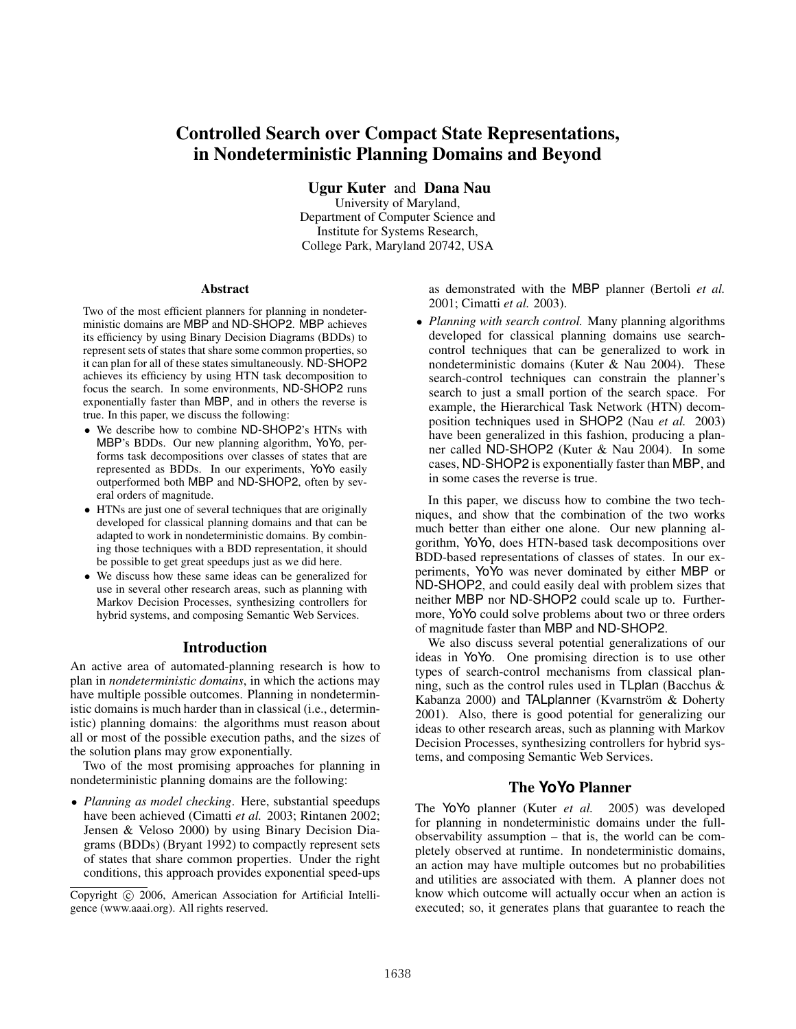# Controlled Search over Compact State Representations, in Nondeterministic Planning Domains and Beyond

Ugur Kuter and Dana Nau

University of Maryland, Department of Computer Science and Institute for Systems Research, College Park, Maryland 20742, USA

#### Abstract

Two of the most efficient planners for planning in nondeterministic domains are MBP and ND-SHOP2. MBP achieves its efficiency by using Binary Decision Diagrams (BDDs) to represent sets of states that share some common properties, so it can plan for all of these states simultaneously. ND-SHOP2 achieves its efficiency by using HTN task decomposition to focus the search. In some environments, ND-SHOP2 runs exponentially faster than MBP, and in others the reverse is true. In this paper, we discuss the following:

- *•* We describe how to combine ND-SHOP2's HTNs with MBP's BDDs. Our new planning algorithm, YoYo, performs task decompositions over classes of states that are represented as BDDs. In our experiments, YoYo easily outperformed both MBP and ND-SHOP2, often by several orders of magnitude.
- *•* HTNs are just one of several techniques that are originally developed for classical planning domains and that can be adapted to work in nondeterministic domains. By combining those techniques with a BDD representation, it should be possible to get great speedups just as we did here.
- *•* We discuss how these same ideas can be generalized for use in several other research areas, such as planning with Markov Decision Processes, synthesizing controllers for hybrid systems, and composing Semantic Web Services.

## Introduction

An active area of automated-planning research is how to plan in *nondeterministic domains*, in which the actions may have multiple possible outcomes. Planning in nondeterministic domains is much harder than in classical (i.e., deterministic) planning domains: the algorithms must reason about all or most of the possible execution paths, and the sizes of the solution plans may grow exponentially.

Two of the most promising approaches for planning in nondeterministic planning domains are the following:

*• Planning as model checking*. Here, substantial speedups have been achieved (Cimatti *et al.* 2003; Rintanen 2002; Jensen & Veloso 2000) by using Binary Decision Diagrams (BDDs) (Bryant 1992) to compactly represent sets of states that share common properties. Under the right conditions, this approach provides exponential speed-ups

as demonstrated with the MBP planner (Bertoli *et al.* 2001; Cimatti *et al.* 2003).

*• Planning with search control.* Many planning algorithms developed for classical planning domains use searchcontrol techniques that can be generalized to work in nondeterministic domains (Kuter & Nau 2004). These search-control techniques can constrain the planner's search to just a small portion of the search space. For example, the Hierarchical Task Network (HTN) decomposition techniques used in SHOP2 (Nau *et al.* 2003) have been generalized in this fashion, producing a planner called ND-SHOP2 (Kuter & Nau 2004). In some cases, ND-SHOP2 is exponentially faster than MBP, and in some cases the reverse is true.

In this paper, we discuss how to combine the two techniques, and show that the combination of the two works much better than either one alone. Our new planning algorithm, YoYo, does HTN-based task decompositions over BDD-based representations of classes of states. In our experiments, YoYo was never dominated by either MBP or ND-SHOP2, and could easily deal with problem sizes that neither MBP nor ND-SHOP2 could scale up to. Furthermore, YoYo could solve problems about two or three orders of magnitude faster than MBP and ND-SHOP2.

We also discuss several potential generalizations of our ideas in YoYo. One promising direction is to use other types of search-control mechanisms from classical planning, such as the control rules used in TLplan (Bacchus & Kabanza 2000) and TALplanner (Kvarnström & Doherty 2001). Also, there is good potential for generalizing our ideas to other research areas, such as planning with Markov Decision Processes, synthesizing controllers for hybrid systems, and composing Semantic Web Services.

# The **YoYo** Planner

The YoYo planner (Kuter *et al.* 2005) was developed for planning in nondeterministic domains under the fullobservability assumption – that is, the world can be completely observed at runtime. In nondeterministic domains, an action may have multiple outcomes but no probabilities and utilities are associated with them. A planner does not know which outcome will actually occur when an action is executed; so, it generates plans that guarantee to reach the

Copyright  $\odot$  2006, American Association for Artificial Intelligence (www.aaai.org). All rights reserved.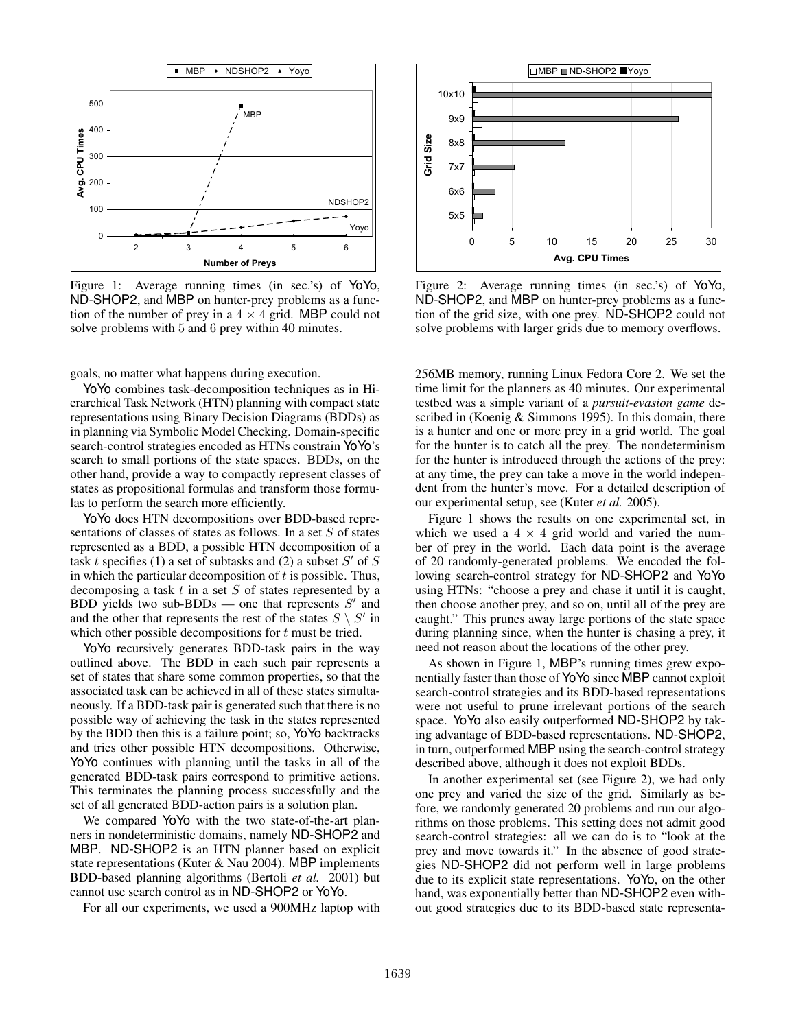

Figure 1: Average running times (in sec.'s) of YoYo, ND-SHOP2, and MBP on hunter-prey problems as a function of the number of prey in a  $4 \times 4$  grid. MBP could not solve problems with 5 and 6 prey within 40 minutes.

goals, no matter what happens during execution.

YoYo combines task-decomposition techniques as in Hierarchical Task Network (HTN) planning with compact state representations using Binary Decision Diagrams (BDDs) as in planning via Symbolic Model Checking. Domain-specific search-control strategies encoded as HTNs constrain YoYo's search to small portions of the state spaces. BDDs, on the other hand, provide a way to compactly represent classes of states as propositional formulas and transform those formulas to perform the search more efficiently.

YoYo does HTN decompositions over BDD-based representations of classes of states as follows. In a set *S* of states represented as a BDD, a possible HTN decomposition of a task *t* specifies (1) a set of subtasks and (2) a subset  $S'$  of  $S$ in which the particular decomposition of *t* is possible. Thus, decomposing a task *t* in a set *S* of states represented by a BDD yields two sub-BDDs — one that represents *S-* and and the other that represents the rest of the states  $S \setminus S'$  in which other possible decompositions for *t* must be tried.

YoYo recursively generates BDD-task pairs in the way outlined above. The BDD in each such pair represents a set of states that share some common properties, so that the associated task can be achieved in all of these states simultaneously. If a BDD-task pair is generated such that there is no possible way of achieving the task in the states represented by the BDD then this is a failure point; so, YoYo backtracks and tries other possible HTN decompositions. Otherwise, YoYo continues with planning until the tasks in all of the generated BDD-task pairs correspond to primitive actions. This terminates the planning process successfully and the set of all generated BDD-action pairs is a solution plan.

We compared YoYo with the two state-of-the-art planners in nondeterministic domains, namely ND-SHOP2 and MBP. ND-SHOP2 is an HTN planner based on explicit state representations (Kuter & Nau 2004). MBP implements BDD-based planning algorithms (Bertoli *et al.* 2001) but cannot use search control as in ND-SHOP2 or YoYo.

For all our experiments, we used a 900MHz laptop with



Figure 2: Average running times (in sec.'s) of YoYo, ND-SHOP2, and MBP on hunter-prey problems as a function of the grid size, with one prey. ND-SHOP2 could not solve problems with larger grids due to memory overflows.

256MB memory, running Linux Fedora Core 2. We set the time limit for the planners as 40 minutes. Our experimental testbed was a simple variant of a *pursuit-evasion game* described in (Koenig & Simmons 1995). In this domain, there is a hunter and one or more prey in a grid world. The goal for the hunter is to catch all the prey. The nondeterminism for the hunter is introduced through the actions of the prey: at any time, the prey can take a move in the world independent from the hunter's move. For a detailed description of our experimental setup, see (Kuter *et al.* 2005).

Figure 1 shows the results on one experimental set, in which we used a  $4 \times 4$  grid world and varied the number of prey in the world. Each data point is the average of 20 randomly-generated problems. We encoded the following search-control strategy for ND-SHOP2 and YoYo using HTNs: "choose a prey and chase it until it is caught, then choose another prey, and so on, until all of the prey are caught." This prunes away large portions of the state space during planning since, when the hunter is chasing a prey, it need not reason about the locations of the other prey.

As shown in Figure 1, MBP's running times grew exponentially faster than those of YoYo since MBP cannot exploit search-control strategies and its BDD-based representations were not useful to prune irrelevant portions of the search space. YoYo also easily outperformed ND-SHOP2 by taking advantage of BDD-based representations. ND-SHOP2, in turn, outperformed MBP using the search-control strategy described above, although it does not exploit BDDs.

In another experimental set (see Figure 2), we had only one prey and varied the size of the grid. Similarly as before, we randomly generated 20 problems and run our algorithms on those problems. This setting does not admit good search-control strategies: all we can do is to "look at the prey and move towards it." In the absence of good strategies ND-SHOP2 did not perform well in large problems due to its explicit state representations. YoYo, on the other hand, was exponentially better than ND-SHOP2 even without good strategies due to its BDD-based state representa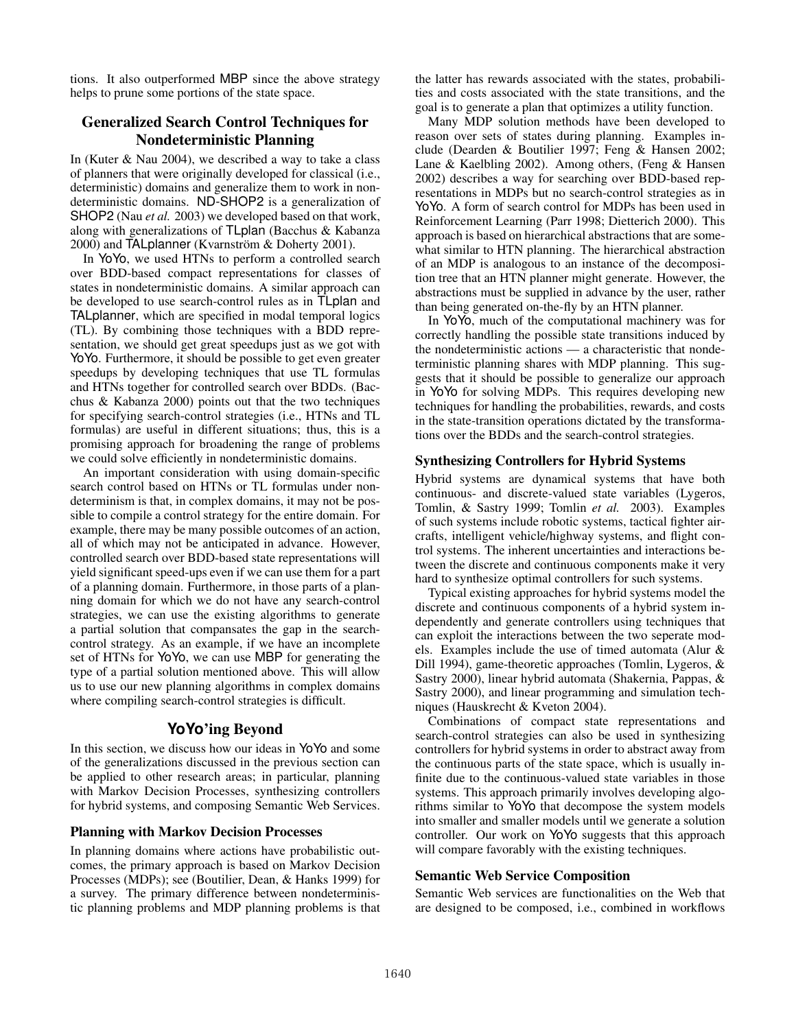tions. It also outperformed MBP since the above strategy helps to prune some portions of the state space.

# Generalized Search Control Techniques for Nondeterministic Planning

In (Kuter & Nau 2004), we described a way to take a class of planners that were originally developed for classical (i.e., deterministic) domains and generalize them to work in nondeterministic domains. ND-SHOP2 is a generalization of SHOP2 (Nau *et al.* 2003) we developed based on that work, along with generalizations of TLplan (Bacchus & Kabanza  $2000$ ) and TALplanner (Kvarnström & Doherty 2001).

In YoYo, we used HTNs to perform a controlled search over BDD-based compact representations for classes of states in nondeterministic domains. A similar approach can be developed to use search-control rules as in TLplan and TALplanner, which are specified in modal temporal logics (TL). By combining those techniques with a BDD representation, we should get great speedups just as we got with YoYo. Furthermore, it should be possible to get even greater speedups by developing techniques that use TL formulas and HTNs together for controlled search over BDDs. (Bacchus & Kabanza 2000) points out that the two techniques for specifying search-control strategies (i.e., HTNs and TL formulas) are useful in different situations; thus, this is a promising approach for broadening the range of problems we could solve efficiently in nondeterministic domains.

An important consideration with using domain-specific search control based on HTNs or TL formulas under nondeterminism is that, in complex domains, it may not be possible to compile a control strategy for the entire domain. For example, there may be many possible outcomes of an action, all of which may not be anticipated in advance. However, controlled search over BDD-based state representations will yield significant speed-ups even if we can use them for a part of a planning domain. Furthermore, in those parts of a planning domain for which we do not have any search-control strategies, we can use the existing algorithms to generate a partial solution that compansates the gap in the searchcontrol strategy. As an example, if we have an incomplete set of HTNs for YoYo, we can use MBP for generating the type of a partial solution mentioned above. This will allow us to use our new planning algorithms in complex domains where compiling search-control strategies is difficult.

# **YoYo**'ing Beyond

In this section, we discuss how our ideas in YoYo and some of the generalizations discussed in the previous section can be applied to other research areas; in particular, planning with Markov Decision Processes, synthesizing controllers for hybrid systems, and composing Semantic Web Services.

#### Planning with Markov Decision Processes

In planning domains where actions have probabilistic outcomes, the primary approach is based on Markov Decision Processes (MDPs); see (Boutilier, Dean, & Hanks 1999) for a survey. The primary difference between nondeterministic planning problems and MDP planning problems is that

the latter has rewards associated with the states, probabilities and costs associated with the state transitions, and the goal is to generate a plan that optimizes a utility function.

Many MDP solution methods have been developed to reason over sets of states during planning. Examples include (Dearden & Boutilier 1997; Feng & Hansen 2002; Lane & Kaelbling 2002). Among others, (Feng & Hansen 2002) describes a way for searching over BDD-based representations in MDPs but no search-control strategies as in YoYo. A form of search control for MDPs has been used in Reinforcement Learning (Parr 1998; Dietterich 2000). This approach is based on hierarchical abstractions that are somewhat similar to HTN planning. The hierarchical abstraction of an MDP is analogous to an instance of the decomposition tree that an HTN planner might generate. However, the abstractions must be supplied in advance by the user, rather than being generated on-the-fly by an HTN planner.

In YoYo, much of the computational machinery was for correctly handling the possible state transitions induced by the nondeterministic actions — a characteristic that nondeterministic planning shares with MDP planning. This suggests that it should be possible to generalize our approach in YoYo for solving MDPs. This requires developing new techniques for handling the probabilities, rewards, and costs in the state-transition operations dictated by the transformations over the BDDs and the search-control strategies.

#### Synthesizing Controllers for Hybrid Systems

Hybrid systems are dynamical systems that have both continuous- and discrete-valued state variables (Lygeros, Tomlin, & Sastry 1999; Tomlin *et al.* 2003). Examples of such systems include robotic systems, tactical fighter aircrafts, intelligent vehicle/highway systems, and flight control systems. The inherent uncertainties and interactions between the discrete and continuous components make it very hard to synthesize optimal controllers for such systems.

Typical existing approaches for hybrid systems model the discrete and continuous components of a hybrid system independently and generate controllers using techniques that can exploit the interactions between the two seperate models. Examples include the use of timed automata (Alur & Dill 1994), game-theoretic approaches (Tomlin, Lygeros, & Sastry 2000), linear hybrid automata (Shakernia, Pappas, & Sastry 2000), and linear programming and simulation techniques (Hauskrecht & Kveton 2004).

Combinations of compact state representations and search-control strategies can also be used in synthesizing controllers for hybrid systems in order to abstract away from the continuous parts of the state space, which is usually infinite due to the continuous-valued state variables in those systems. This approach primarily involves developing algorithms similar to YoYo that decompose the system models into smaller and smaller models until we generate a solution controller. Our work on YoYo suggests that this approach will compare favorably with the existing techniques.

### Semantic Web Service Composition

Semantic Web services are functionalities on the Web that are designed to be composed, i.e., combined in workflows